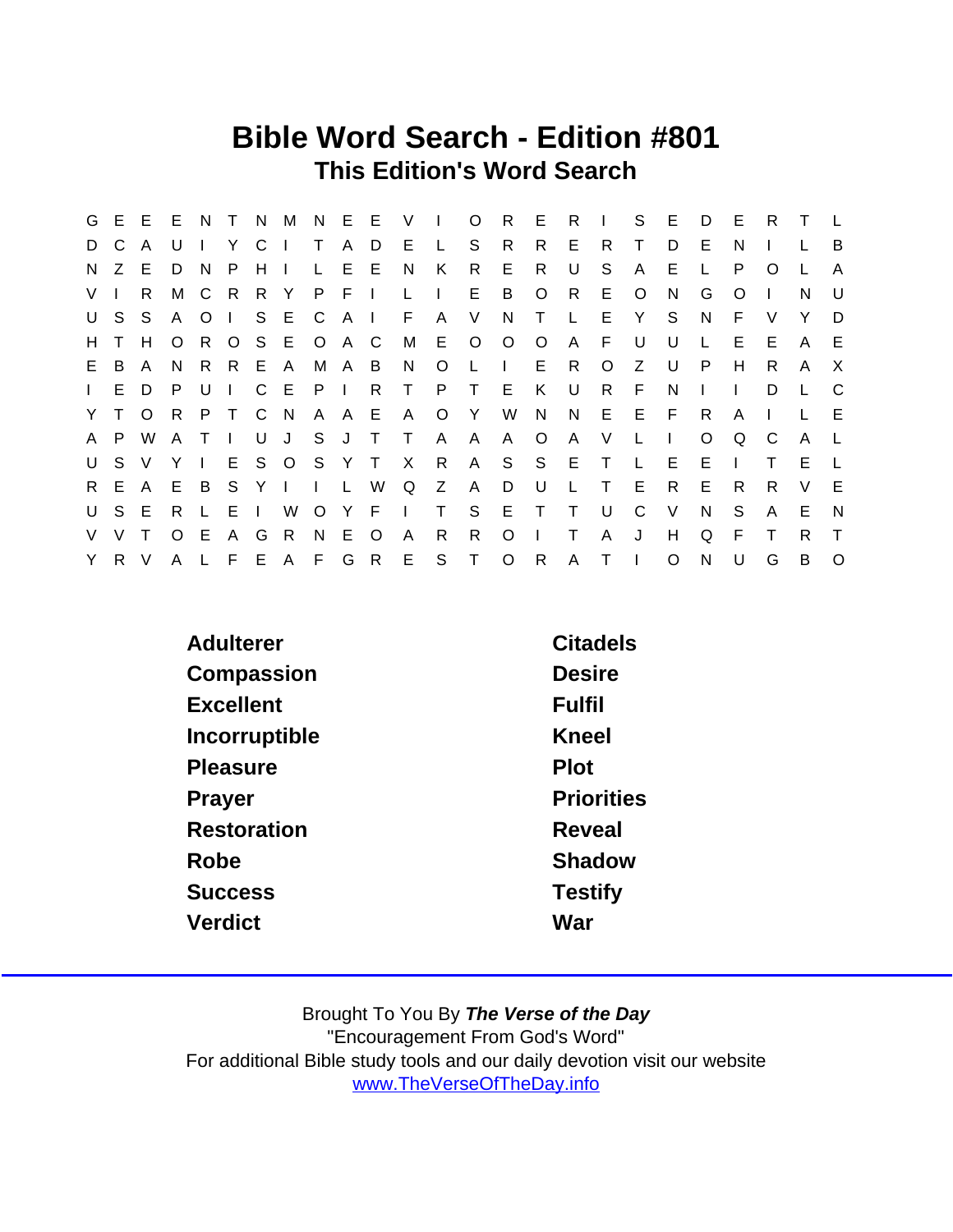## Bible Word Search - Edition #801 This Edition's Word Search

|                |              | G E E E |              | N            | $\top$       |                |                |              |              | N M N E E V |              | $\blacksquare$ | $\circ$      | R.           | E.           | R            | $\blacksquare$ | S              | E.           | D       | Е            | R.       | Τ |          |
|----------------|--------------|---------|--------------|--------------|--------------|----------------|----------------|--------------|--------------|-------------|--------------|----------------|--------------|--------------|--------------|--------------|----------------|----------------|--------------|---------|--------------|----------|---|----------|
| D              | C            | A       | U            | $\mathbf{1}$ | Y.           | C <sub>1</sub> |                | $\top$       | A            | D           | E.           | $\mathsf{L}$   | S.           | R.           | R.           | E.           | R.             | т              | D            | E       | N            |          |   | B        |
| N.             | Z E          |         | D            | - N          | P            | H              | $\blacksquare$ | L.           |              | E E         | N.           | K              | R.           | E.           | R.           | U            | S              | A              | E.           | L       | P            | $\Omega$ |   | A        |
| V <sub>l</sub> |              | R       | М            | $\mathbf{C}$ | - R          | R Y            |                | P F I        |              |             | L.           |                | E.           | B            | $\circ$      | R            | E              | $\circ$        | <sup>N</sup> | G       | O            |          | N | U        |
| U              | S.           | -S      | $\mathsf{A}$ | $\circ$      | $\mathbf{1}$ |                | S E C          |              | $A \mid$     |             | F.           | A              | V            | N            | $\top$       | $\mathsf{L}$ | E              | Y              | S.           | N.      | E            | V        | Y | D        |
| H              | $\mathsf{T}$ | H       | $\circ$      | R.           |              |                | O S E O A C    |              |              |             | M            | E.             | $\circ$      | $\circ$      | $\circ$      | A            | E              | U              | U            | L.      | Е            | Е        | A | E.       |
| E.             | B            | A       | <sup>N</sup> | R.           | R E          |                | - A            |              | M A B        |             | N.           | $\circ$        | L            | $\mathbf{I}$ | E            | R            | $\circ$        | Z              | U            | P       | H            | R        | A | $\times$ |
| $\mathbf{L}$   |              | E D     | P            | U            | $\mathbf{L}$ |                | $C$ $E$        | $\mathsf{P}$ | $\mathbf{I}$ | R.          | $\top$       | P.             | $\top$       | E.           | K            | U            | R.             | F              | N            |         |              | D        |   | C        |
|                | Y T O        |         | R.           | P.           | $\top$       |                | C N            |              | A A E        |             | A            | $\circ$        | Y            | W            | N            |              | N E            | - E            | E.           | R.      | A            |          |   | E        |
| A              | P.           | W       | $\mathsf{A}$ | $\top$       | $\mathbf{L}$ | U              | J.             | S            | J T          |             | $\top$       | A              | A            | A            | $\circ$      | A            | V              | L              |              | $\circ$ | Q            | C.       | A |          |
| U              | S.           | $\vee$  | Y            | $\mathbf{I}$ | E.           |                | S O S Y T      |              |              |             | $\mathsf{X}$ | $\mathsf{R}$   | A            |              | S S          | E            | $\top$         | $\mathsf{L}$   | E.           | E       | $\mathbf{I}$ | т        | Е |          |
|                | R E A        |         | E            | B            | S.           | YI             |                | $\mathbf{I}$ | $\mathsf{L}$ | W           | Q            | Z              | $\mathsf{A}$ | D            | U            | L.           | $\top$         | E              | R.           | E.      | R            | R.       | V | E        |
| U              | S E          |         | R            | L.           | EI           |                | W              | $\circ$      | Y F          |             | $\mathbf{L}$ | $\top$         | S            | E            | $\top$       | $\top$       | U              | C              | V            | N       | S            | A        | E | N        |
| V              | $\vee$       |         | $\Omega$     | E            | A            | G              | R.             | N.           | E.           | $\circ$     | $\mathsf{A}$ | R              | R.           | $\circ$      | $\mathbf{I}$ | Τ            | A              | J              | H            | Q       | F            |          | R | $\top$   |
|                | Y R V        |         | A            |              |              |                | L F E A F      |              |              | G R         | E            | S              | $\top$       | $\circ$      | R            | A            | T.             | $\blacksquare$ | O            | N       | U            | G        | B | $\Omega$ |

| Adulterer          | Citadels          |
|--------------------|-------------------|
| Compassion         | <b>Desire</b>     |
| <b>Excellent</b>   | <b>Fulfil</b>     |
| Incorruptible      | Kneel             |
| Pleasure           | Plot              |
| Prayer             | <b>Priorities</b> |
| <b>Restoration</b> | Reveal            |
| Robe               | Shadow            |
| <b>Success</b>     | <b>Testify</b>    |
| Verdict            | War               |
|                    |                   |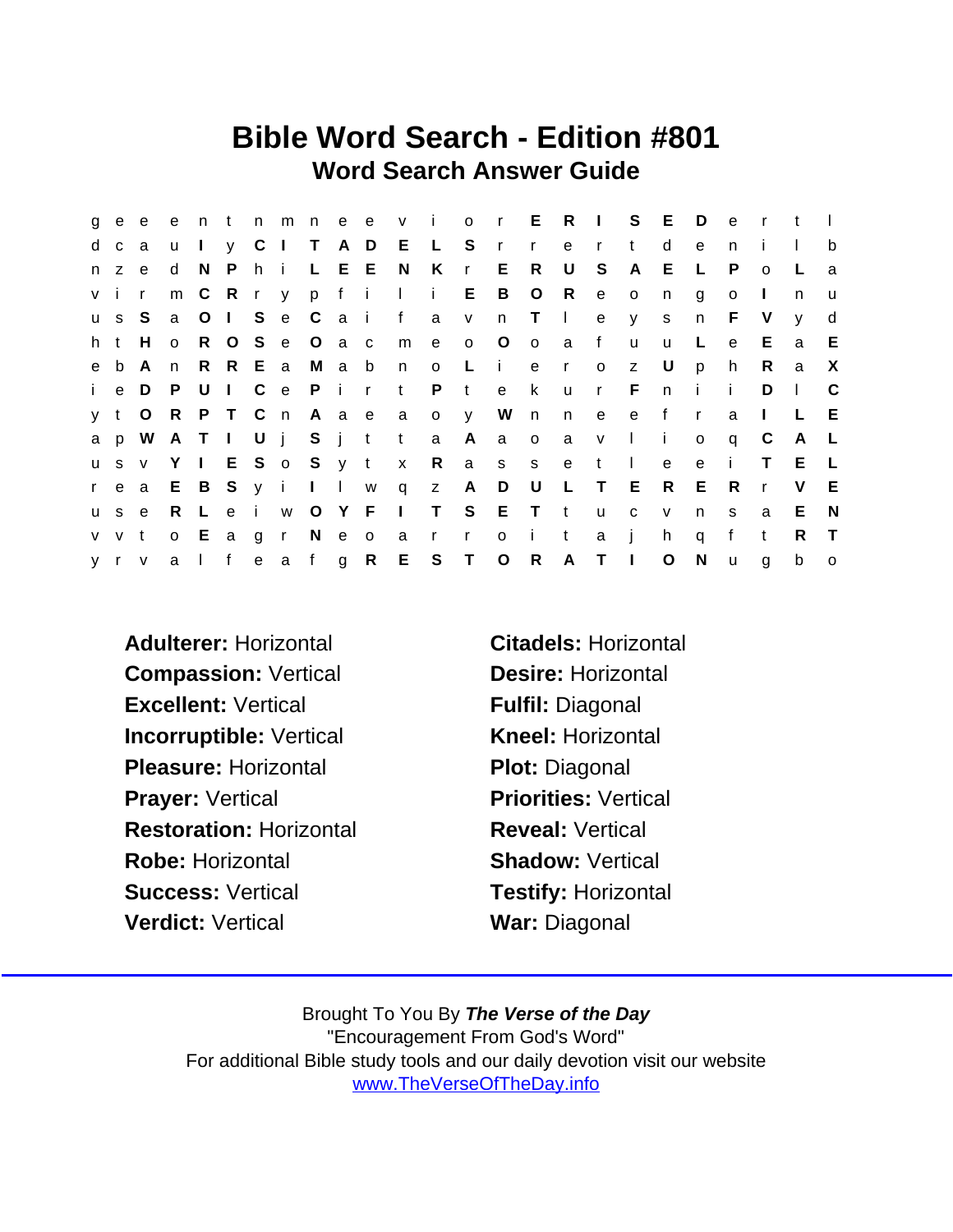## Bible Word Search - Edition #801 Word Search Answer Guide

|     | g e e    |          |                 |                           |  |                 |                   |                         |              |              |                                     |                         |              |     | entnmneevior ERISED |              |              | e r          |              | $\mathbf{t}$ |                           |
|-----|----------|----------|-----------------|---------------------------|--|-----------------|-------------------|-------------------------|--------------|--------------|-------------------------------------|-------------------------|--------------|-----|---------------------|--------------|--------------|--------------|--------------|--------------|---------------------------|
|     | d c      | a        |                 | $\mathsf{u}$ $\mathsf{l}$ |  |                 |                   |                         |              |              | y C I T A D E L S r r e r           |                         |              |     | t                   | d            | $\mathbf{e}$ | n            |              |              | b                         |
|     | $n \, z$ | e.       |                 |                           |  | d N P h i L E E |                   | N                       | K            |              | r E R                               |                         | U            | S   | $\mathsf{A}$        | E            | $\mathsf{L}$ | P.           | $\Omega$     |              | a                         |
|     | v i r    |          |                 |                           |  |                 |                   | m C R r y p f i l i E B |              |              |                                     |                         | O R e        |     | $\circ$             | n            | g            | $\circ$      | $\mathbf{I}$ | n            | <b>u</b>                  |
|     |          | us S     |                 |                           |  |                 | a O I S e C a i f |                         | a v          |              | n                                   | $T \cup$                |              | e   |                     | y s          | n            | - F -        | $\vee$       | <b>V</b>     | d                         |
| h t |          | H        | o R O S e O a c |                           |  |                 |                   | m e                     |              | $0$ O        |                                     | $\overline{\mathbf{0}}$ | a f          |     | $\mathsf{u}$        | u            | L.           | e            | E.           | $\mathbf{a}$ | E                         |
|     | e b      | A        | n               |                           |  |                 |                   | R R E a M a b n o       |              |              | Liero                               |                         |              |     | $\mathsf{Z}$        | U            | p            | h.           | R.           | a            | $\boldsymbol{\mathsf{X}}$ |
|     | i e D    |          |                 |                           |  |                 |                   |                         |              |              | P U I C e P i r t P t e k           |                         |              |     | ur Fni              |              |              | i.           | D            | $\Box$       | $\mathsf{C}$              |
|     | y t      | $\circ$  |                 |                           |  |                 |                   | R P T C n A a e a o y   |              |              | W n                                 |                         |              |     | n e e f             |              | $\mathsf{r}$ | a            | $\mathbf{L}$ | L.           | E                         |
|     |          |          |                 |                           |  |                 |                   | a p W A T I U j S j t t |              |              | a A a o                             |                         |              |     | a v I i             |              | $\mathsf{o}$ | $\mathsf{q}$ | C            | A L          |                           |
|     |          | us v Y I |                 |                           |  |                 |                   |                         |              |              | E S o S y t x R a s s e t l         |                         |              |     |                     | $\mathbf{e}$ | e            | $\mathbf{i}$ | $\mathsf{T}$ | E.           | - L                       |
|     |          |          |                 |                           |  |                 |                   |                         |              |              | rea E B S y i I I w q z A D U L T E |                         |              |     |                     | R E          |              | - R          | $\mathsf{r}$ | V            | - E                       |
|     | u s e    |          |                 |                           |  | R L e i w O Y F |                   | $\sim 1$ $\sim$         |              |              | T S E T t                           |                         |              | u c |                     | V            | n            | S.           | a            | E            | - N                       |
|     | v v t    |          |                 |                           |  | o E a g r N e o |                   | $\overline{a}$          | $\mathsf{r}$ | $\mathsf{r}$ | $\overline{O}$                      | $\sim 1$                | $\mathbf{t}$ | a   | $\mathbf{i}$        | h            | q            | f            | $\mathbf{t}$ | R.           | $\top$                    |
|     |          | y r v    |                 |                           |  |                 | alfeafg R         |                         |              | E S T O      |                                     | R                       | A T I        |     |                     | $\circ$      | $\mathsf{N}$ | $\mathsf{u}$ | g            | $\mathsf b$  | $\overline{O}$            |

Adulterer: Horizontal Citadels: Horizontal Compassion: Vertical Desire: Horizontal Excellent: Vertical Fulfil: Diagonal Incorruptible: Vertical Kneel: Horizontal Pleasure: Horizontal Plot: Diagonal Prayer: Vertical **Priorities: Vertical** Restoration: Horizontal Reveal: Vertical Robe: Horizontal Shadow: Vertical Success: Vertical Testify: Horizontal Verdict: Vertical War: Diagonal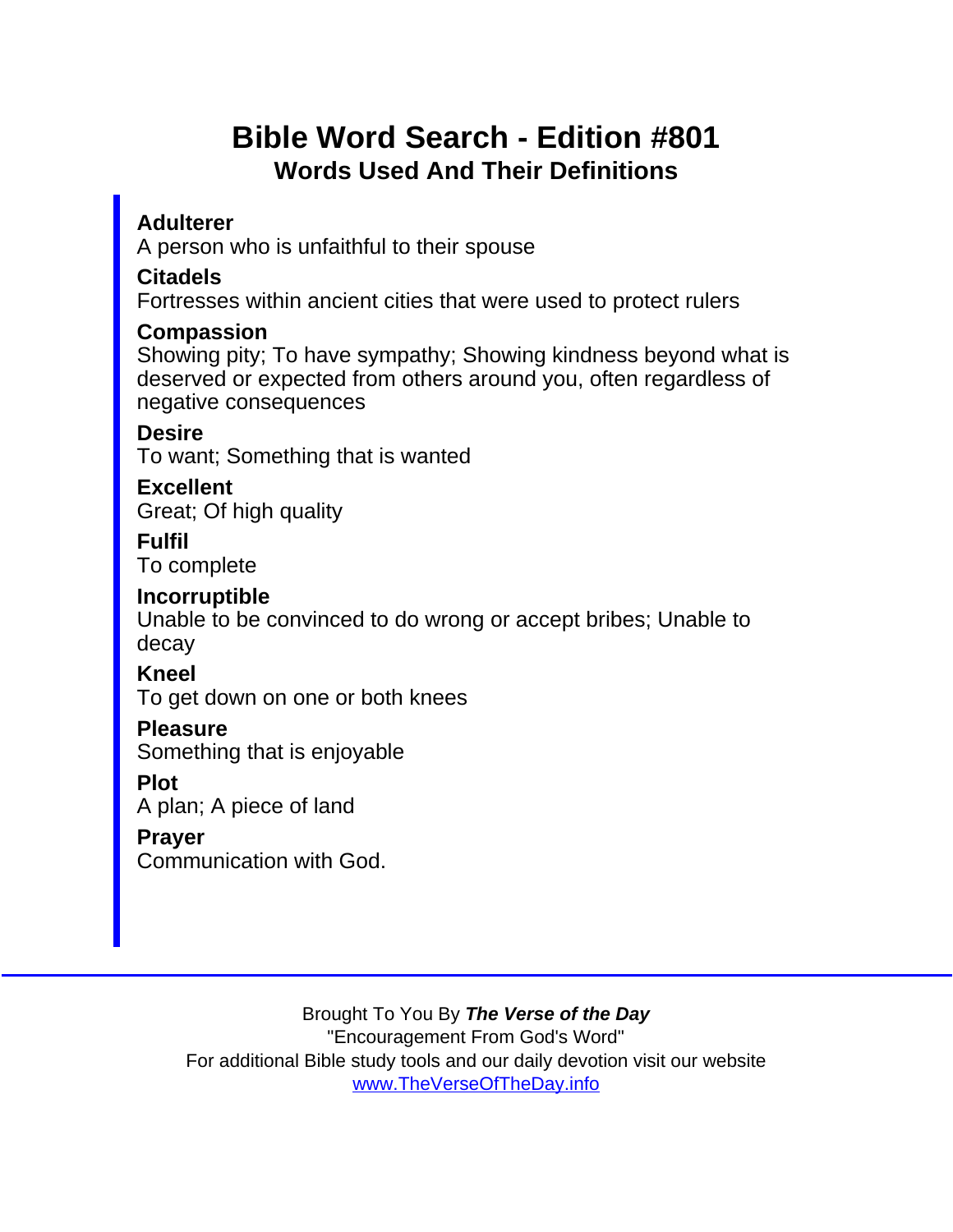## Bible Word Search - Edition #801 Words Used And Their Definitions

Adulterer A person who is unfaithful to their spouse

Citadels

Fortresses within ancient cities that were used to protect rulers

**Compassion** 

Showing pity; To have sympathy; Showing kindness beyond what is deserved or expected from others around you, often regardless of negative consequences

**Desire** 

To want; Something that is wanted

**Excellent** Great; Of high quality

Fulfil To complete

Incorruptible

Unable to be convinced to do wrong or accept bribes; Unable to decay

Kneel

To get down on one or both knees

**Pleasure** 

Something that is enjoyable

Plot

A plan; A piece of land

Prayer

Communication with God.